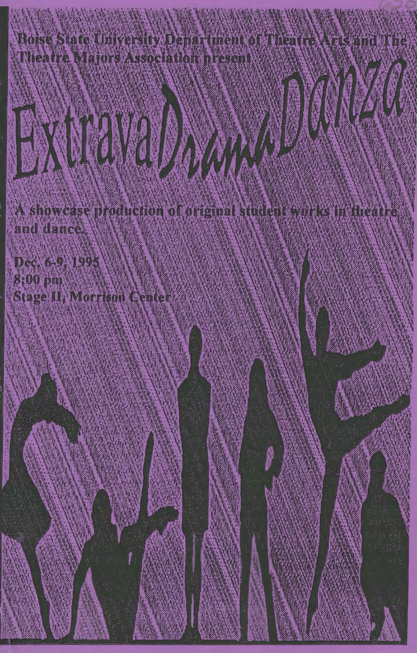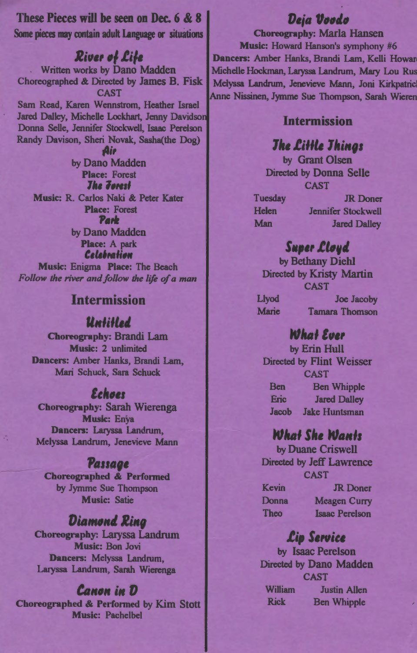These Pieces will be seen on Dec. 6 & 8 Some pieces may contain adult Language or situations

#### River of Life

Written works by Dano Madden Choreographed & Directed by James B. Fisk CAST Sam Read, Karen Wennstrom, Heather Israel Jared Dalley, Michelle Lockhart, Jenny Davidson Donna Selle, Jennifer Stockwell, Isaac Perelson Randy Davison, Sheri Novak, Sasha(the Dog)

Air by Dano Madden **Place: Forest The Zorest** Music: R. Carlos Naki & Peter Kater **Place: Forest** Park by Dano Madden Place: A park Celebration Music: Enigma Place: The Beach

#### **Intermission**

Follow the river and follow the life of a man

#### *<u>Untitled</u>*

**Choreography: Brandi Lam Music: 2 unlimited** Dancers: Amber Hanks, Brandi Lam, Mari Schuck, Sara Schuck

### *<u>Echoes</u>*

**Choreography: Sarah Wierenga Music: Enya** Dancers: Laryssa Landrum. Melyssa Landrum, Jenevieve Mann

#### **Passage**

**Choreographed & Performed** by Jymme Sue Thompson **Music: Satie** 

### **Diamond Ring**

**Choreography: Laryssa Landrum** Music: Bon Jovi Dancers: Melyssa Landrum. Laryssa Landrum, Sarah Wierenga

### **Canon** in D

**Choreographed & Performed by Kim Stott Music: Pachelbel** 

## Deia Voodo

**Choreography: Marla Hansen** Music: Howard Hanson's symphony #6 Dancers: Amber Hanks, Brandi Lam, Kelli Howar Michelle Hockman, Laryssa Landrum, Mary Lou Rus Melyssa Landrum, Jenevieve Mann, Joni Kirkpatric Anne Nissinen, Jymme Sue Thompson, Sarah Wieren

#### **Intermission**

## **The Little Things**

by Grant Olsen **Directed by Donna Selle CAST** 

Tuesday **Helen** Man

**JR** Doner **Jennifer Stockwell Jared Dalley** 

### **Super Lloyd**

by Bethany Diehl Directed by Kristy Martin **CAST Livod Joe Jacoby Marie Tamara Thomson** 

### **What Ever**

by Erin Hull **Directed by Flint Weisser CAST Ben Ben Whipple Eric Jared Dalley Jacob Jake Huntsman** 

### **What She Wants**

by Duane Criswell Directed by Jeff Lawrence **CAST** Kevin **JR** Doner Donna **Meagen Curry** Theo **Isaac Perelson** 

# Lip Service

by Isaac Perelson Directed by Dano Madden **CAST William Justin Allen Rick Ben Whipple**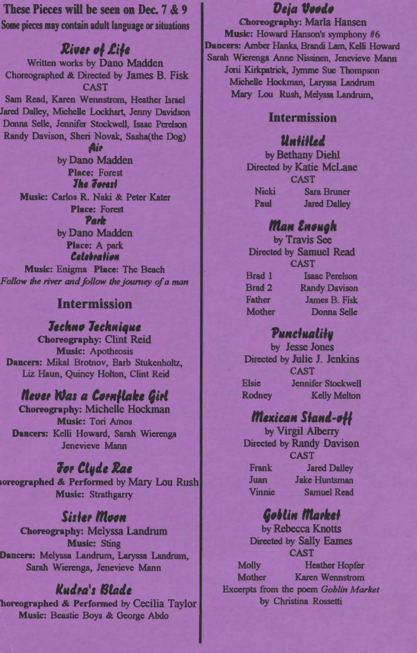These Pieces will be seen on Dec. 7 & 9 Some pieces may contain adult language or situations

**River of Life** Written works by Dano Madden Choreographed & Directed by James B. Fisk **CAST** Sam Read, Karen Wennstrom, Heather Israel Jared Dalley, Michelle Lockhart, Jenny Davidson Donna Selle, Jennifer Stockwell, Isaac Perelson Randy Davison, Sheri Novak, Sasha(the Dog) Air by Dano Madden **Place: Forest The Torest** Music: Carlos R. Naki & Peter Kater **Place: Forest** Park by Dano Madden Place: A park Celebration

Music: Enigma Place: The Beach Follow the river and follow the journey of a man

## **Intermission**

#### **Jechno Jechnique**

**Choreography: Clint Reid Music: Apotheosis** Dancers: Mikal Brotnov, Barb Stukenholtz, Liz Haun, Quincy Holton, Clint Reid

## Never Was a Cornflake Girl

**Choreography: Michelle Hockman Music: Tori Amos** Dancers: Kelli Howard, Sarah Wierenga Jenevieve Mann

### **For Clyde Rae**

oreographed & Performed by Mary Lou Rush **Music: Strathgarry** 

## **Sister Moon**

**Choreography: Melyssa Landrum Music: Sting** Dancers: Melyssa Landrum, Laryssa Landrum, Sarah Wierenga, Jenevieve Mann

### Kudra's Blade

horeographed & Performed by Cecilia Taylor Music: Beastie Boys & George Abdo

# Deja Voodo

**Choreography: Marla Hansen** Music: Howard Hanson's symphony #6 Dancers: Amber Hanks, Brandi Lam, Kelli Howard Sarah Wierenga Anne Nissinen, Jenevieve Mann Joni Kirkpatrick, Jymme Sue Thompson Michelle Hockman, Laryssa Landrum Mary Lou Rush, Melyssa Landrum,

#### **Intermission**

### *<u>Untitled</u>*

by Bethany Diehl **Directed by Katie McLane CAST Nicki Sara Bruner** Paul **Jared Dalley** 

### Man Enough

by Travis See **Directed by Samuel Read CAST** Brad 1 **Isaac Perelson Brad 2 Randy Davison Father James B. Fisk Mother** Donna Selle

### Punctuality

by Jesse Jones Directed by Julie J. Jenkins **CAST Elsie Jennifer Stockwell Rodney Kelly Melton** 

# Mexican Stand-off

by Virgil Alberry **Directed by Randy Davison CAST Jared Dalley Frank Juan Jake Huntsman Vinnie Samuel Read** 

# Goblin Market

by Rebecca Knotts **Directed by Sally Eames CAST Molly Heather Hopfer Mother Karen Wennstrom** Excerpts from the poem Goblin Market by Christina Rossetti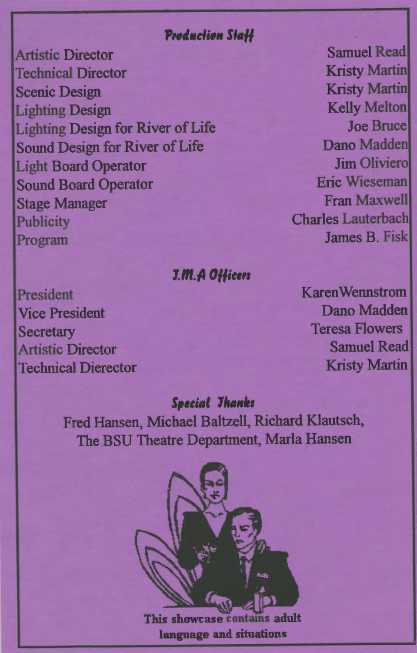## **Production Staff**

**Artistic Director Technical Director Scenic Design Lighting Design Lighting Design for River of Life Sound Design for River of Life Light Board Operator Sound Board Operator Stage Manager Publicity** Program

## J.M.A Officers

President **Vice President Secretary Artistic Director Technical Dierector** 

**Samuel Read Kristy Martin Kristy Martin Kelly Melton Joe Bruce** Dano Madden **Jim Olivierol Eric Wieseman Fran Maxwell Charles Lauterbach James B Fisk** 

**KarenWennstrom** Dano Madden **Teresa Flowers Samuel Read Kristy Martin** 

## **Special Thanks**

Fred Hansen, Michael Baltzell, Richard Klautsch, The BSU Theatre Department, Marla Hansen



s adult. This showcase language and situations